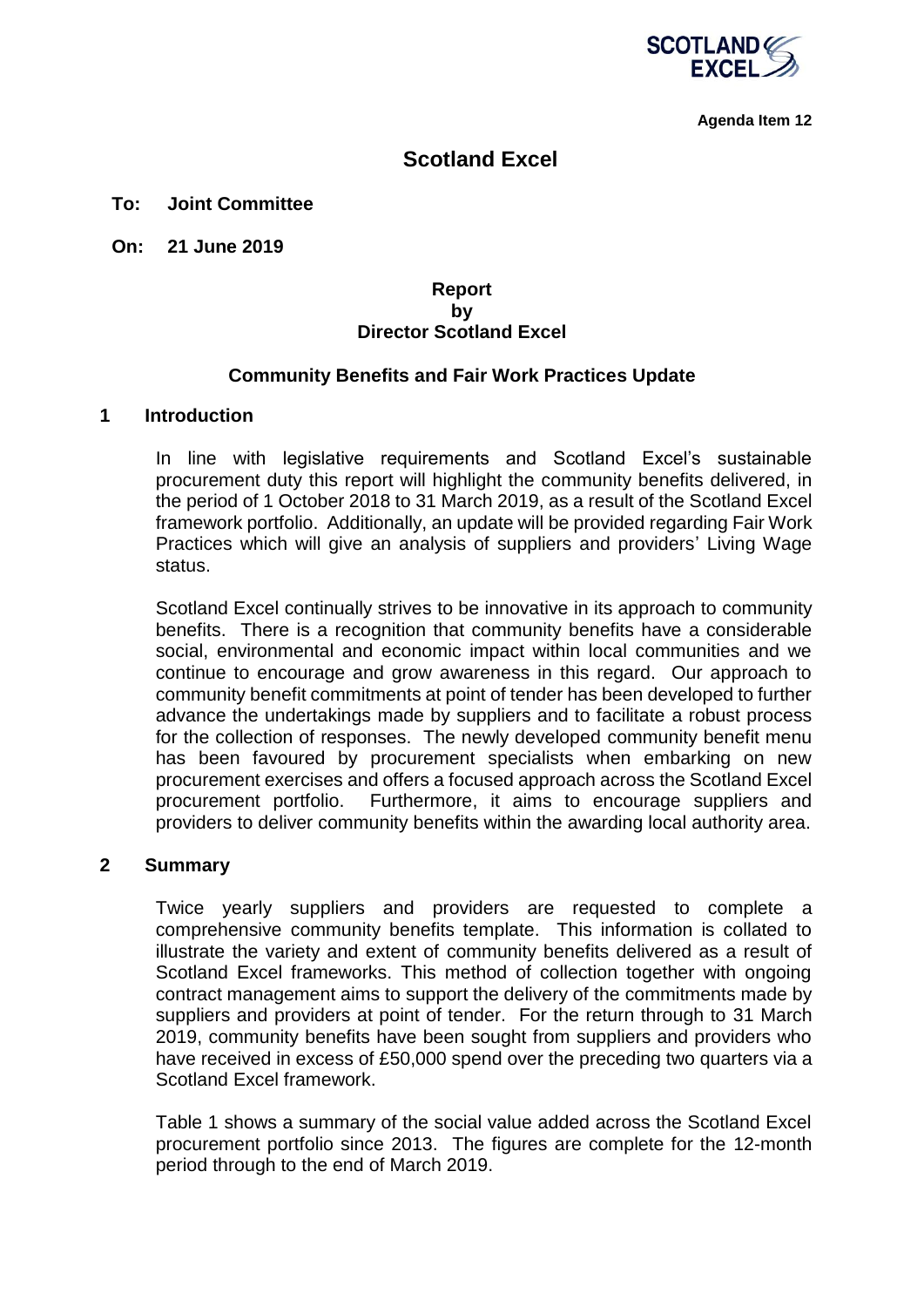

**Agenda Item 12**

## **Scotland Excel**

#### **To: Joint Committee**

**On: 21 June 2019**

#### **Report by Director Scotland Excel**

#### **Community Benefits and Fair Work Practices Update**

#### **1 Introduction**

In line with legislative requirements and Scotland Excel's sustainable procurement duty this report will highlight the community benefits delivered, in the period of 1 October 2018 to 31 March 2019, as a result of the Scotland Excel framework portfolio. Additionally, an update will be provided regarding Fair Work Practices which will give an analysis of suppliers and providers' Living Wage status.

Scotland Excel continually strives to be innovative in its approach to community benefits. There is a recognition that community benefits have a considerable social, environmental and economic impact within local communities and we continue to encourage and grow awareness in this regard. Our approach to community benefit commitments at point of tender has been developed to further advance the undertakings made by suppliers and to facilitate a robust process for the collection of responses. The newly developed community benefit menu has been favoured by procurement specialists when embarking on new procurement exercises and offers a focused approach across the Scotland Excel procurement portfolio. Furthermore, it aims to encourage suppliers and providers to deliver community benefits within the awarding local authority area.

#### **2 Summary**

Twice yearly suppliers and providers are requested to complete a comprehensive community benefits template. This information is collated to illustrate the variety and extent of community benefits delivered as a result of Scotland Excel frameworks. This method of collection together with ongoing contract management aims to support the delivery of the commitments made by suppliers and providers at point of tender. For the return through to 31 March 2019, community benefits have been sought from suppliers and providers who have received in excess of £50,000 spend over the preceding two quarters via a Scotland Excel framework.

Table 1 shows a summary of the social value added across the Scotland Excel procurement portfolio since 2013. The figures are complete for the 12-month period through to the end of March 2019.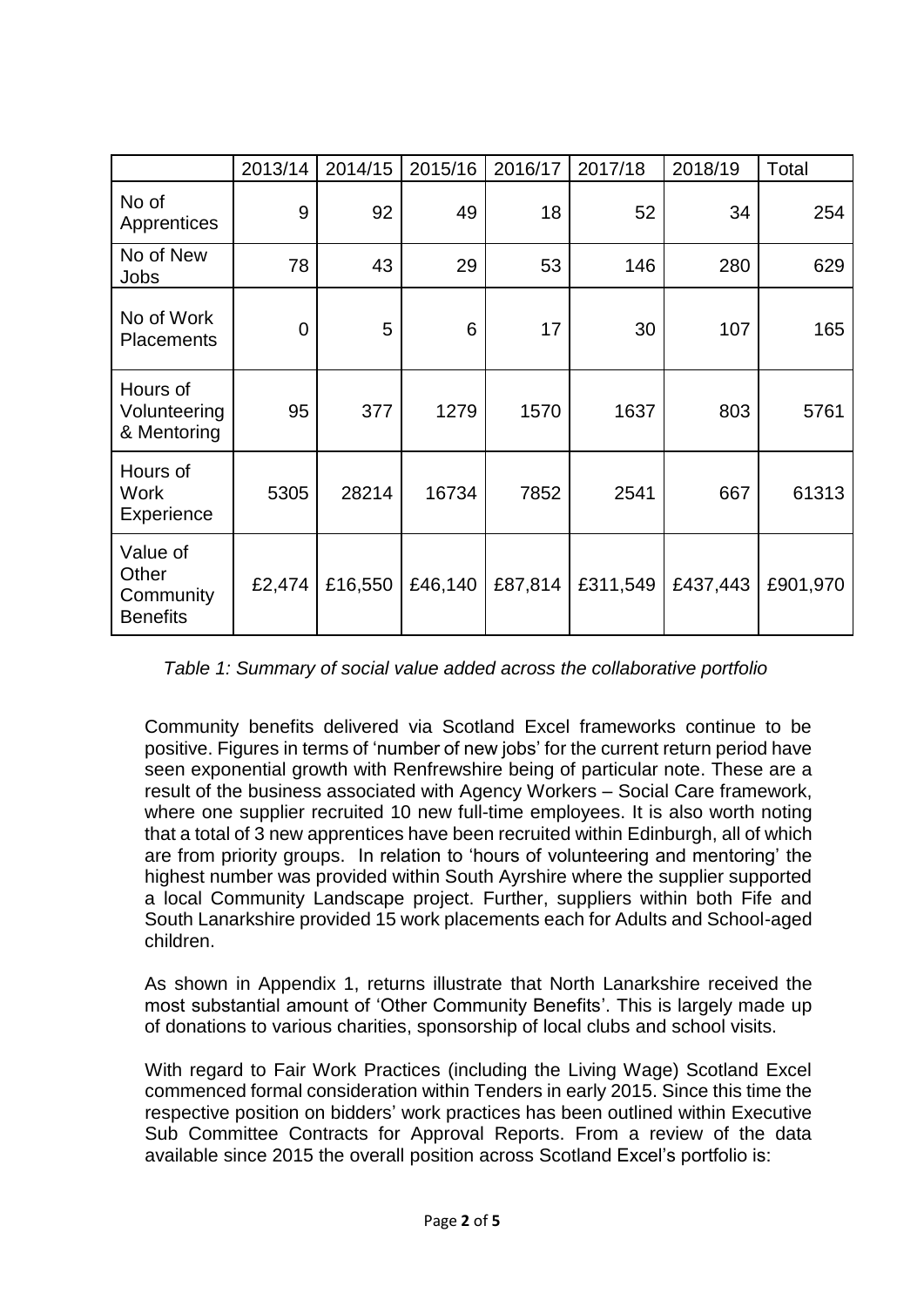|                                                   | 2013/14        | 2014/15 | 2015/16 | 2016/17 | 2017/18  | 2018/19  | Total    |
|---------------------------------------------------|----------------|---------|---------|---------|----------|----------|----------|
| No of<br>Apprentices                              | 9              | 92      | 49      | 18      | 52       | 34       | 254      |
| No of New<br>Jobs                                 | 78             | 43      | 29      | 53      | 146      | 280      | 629      |
| No of Work<br><b>Placements</b>                   | $\overline{0}$ | 5       | 6       | 17      | 30       | 107      | 165      |
| Hours of<br>Volunteering<br>& Mentoring           | 95             | 377     | 1279    | 1570    | 1637     | 803      | 5761     |
| Hours of<br><b>Work</b><br>Experience             | 5305           | 28214   | 16734   | 7852    | 2541     | 667      | 61313    |
| Value of<br>Other<br>Community<br><b>Benefits</b> | £2,474         | £16,550 | £46,140 | £87,814 | £311,549 | £437,443 | £901,970 |

*Table 1: Summary of social value added across the collaborative portfolio*

Community benefits delivered via Scotland Excel frameworks continue to be positive. Figures in terms of 'number of new jobs' for the current return period have seen exponential growth with Renfrewshire being of particular note. These are a result of the business associated with Agency Workers – Social Care framework, where one supplier recruited 10 new full-time employees. It is also worth noting that a total of 3 new apprentices have been recruited within Edinburgh, all of which are from priority groups. In relation to 'hours of volunteering and mentoring' the highest number was provided within South Ayrshire where the supplier supported a local Community Landscape project. Further, suppliers within both Fife and South Lanarkshire provided 15 work placements each for Adults and School-aged children.

As shown in Appendix 1, returns illustrate that North Lanarkshire received the most substantial amount of 'Other Community Benefits'. This is largely made up of donations to various charities, sponsorship of local clubs and school visits.

With regard to Fair Work Practices (including the Living Wage) Scotland Excel commenced formal consideration within Tenders in early 2015. Since this time the respective position on bidders' work practices has been outlined within Executive Sub Committee Contracts for Approval Reports. From a review of the data available since 2015 the overall position across Scotland Excel's portfolio is: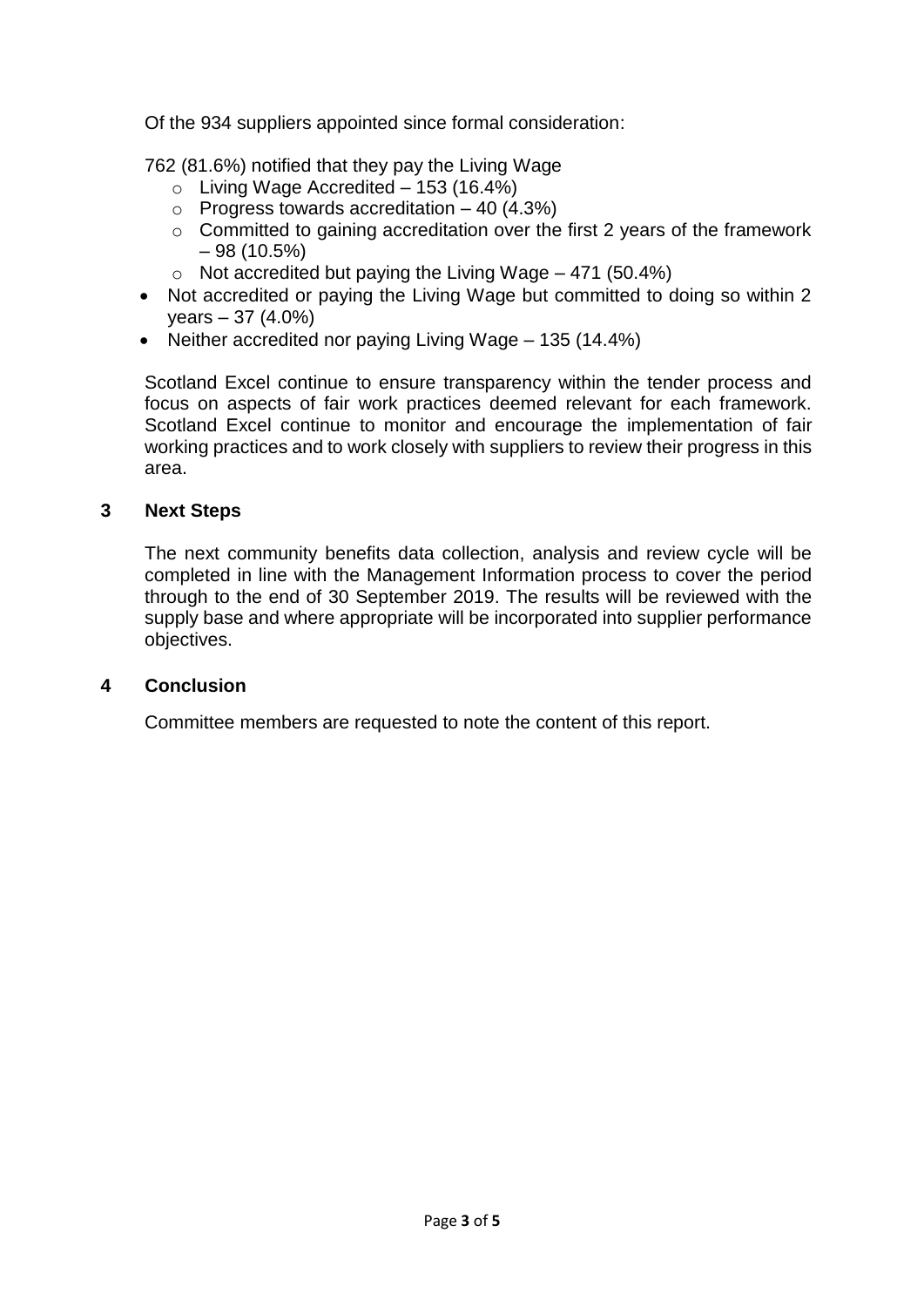Of the 934 suppliers appointed since formal consideration:

762 (81.6%) notified that they pay the Living Wage

- $\circ$  Living Wage Accredited 153 (16.4%)
- $\circ$  Progress towards accreditation 40 (4.3%)
- o Committed to gaining accreditation over the first 2 years of the framework  $-98(10.5%)$
- $\circ$  Not accredited but paying the Living Wage 471 (50.4%)
- Not accredited or paying the Living Wage but committed to doing so within 2 years – 37 (4.0%)
- Neither accredited nor paying Living Wage 135 (14.4%)

Scotland Excel continue to ensure transparency within the tender process and focus on aspects of fair work practices deemed relevant for each framework. Scotland Excel continue to monitor and encourage the implementation of fair working practices and to work closely with suppliers to review their progress in this area.

## **3 Next Steps**

The next community benefits data collection, analysis and review cycle will be completed in line with the Management Information process to cover the period through to the end of 30 September 2019. The results will be reviewed with the supply base and where appropriate will be incorporated into supplier performance objectives.

### **4 Conclusion**

Committee members are requested to note the content of this report.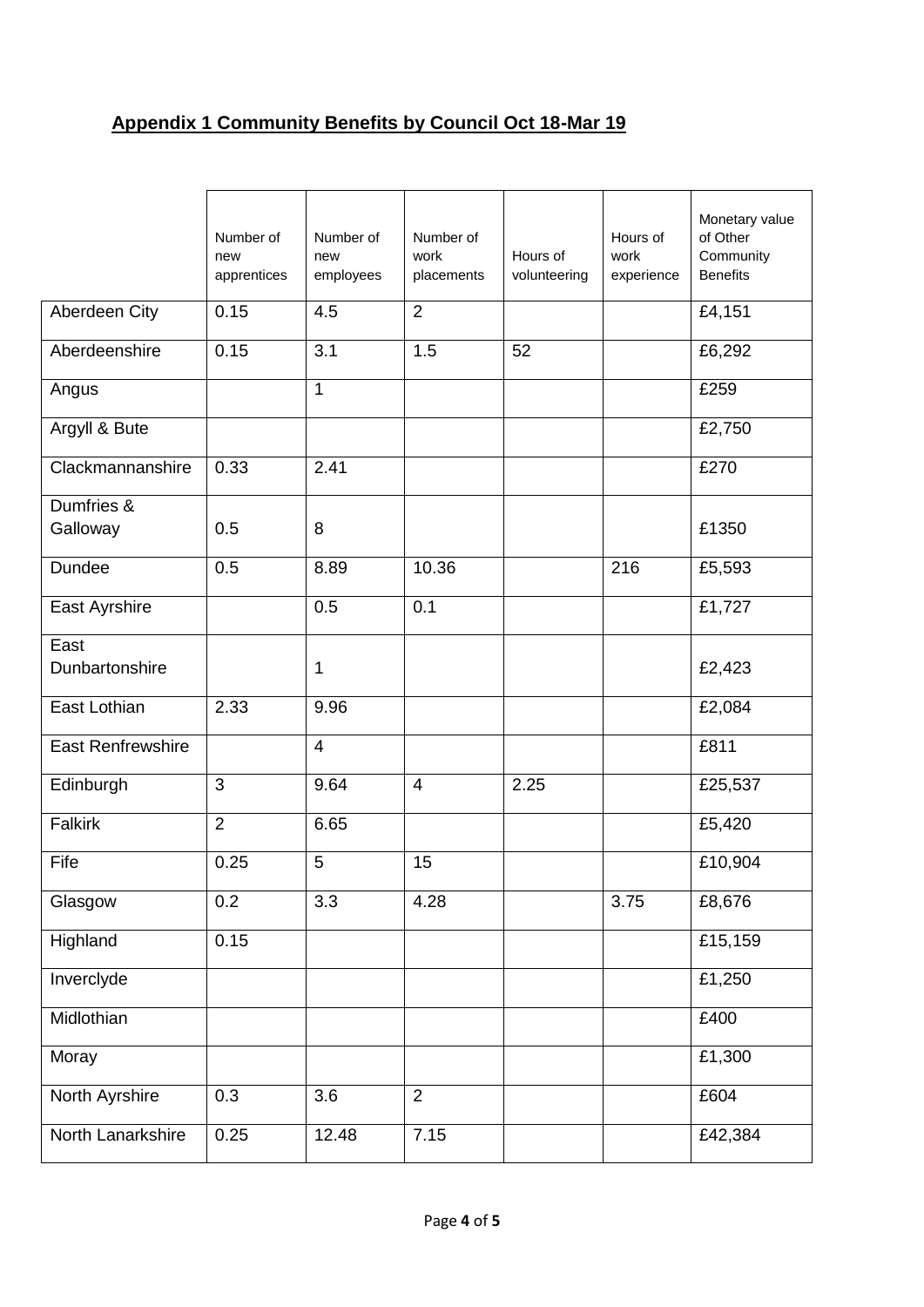# **Appendix 1 Community Benefits by Council Oct 18-Mar 19**

|                          | Number of<br>new<br>apprentices | Number of<br>new<br>employees | Number of<br>work<br>placements | Hours of<br>volunteering | Hours of<br>work<br>experience | Monetary value<br>of Other<br>Community<br><b>Benefits</b> |
|--------------------------|---------------------------------|-------------------------------|---------------------------------|--------------------------|--------------------------------|------------------------------------------------------------|
| Aberdeen City            | 0.15                            | 4.5                           | $\overline{2}$                  |                          |                                | £4,151                                                     |
| Aberdeenshire            | 0.15                            | 3.1                           | 1.5                             | 52                       |                                | £6,292                                                     |
| Angus                    |                                 | $\mathbf{1}$                  |                                 |                          |                                | £259                                                       |
| Argyll & Bute            |                                 |                               |                                 |                          |                                | £2,750                                                     |
| Clackmannanshire         | 0.33                            | 2.41                          |                                 |                          |                                | £270                                                       |
| Dumfries &<br>Galloway   | 0.5                             | 8                             |                                 |                          |                                | £1350                                                      |
| Dundee                   | 0.5                             | 8.89                          | 10.36                           |                          | 216                            | £5,593                                                     |
| East Ayrshire            |                                 | 0.5                           | 0.1                             |                          |                                | £1,727                                                     |
| East<br>Dunbartonshire   |                                 | $\mathbf{1}$                  |                                 |                          |                                | £2,423                                                     |
| East Lothian             | 2.33                            | 9.96                          |                                 |                          |                                | £2,084                                                     |
| <b>East Renfrewshire</b> |                                 | $\overline{4}$                |                                 |                          |                                | £811                                                       |
| Edinburgh                | 3                               | 9.64                          | $\overline{4}$                  | 2.25                     |                                | £25,537                                                    |
| <b>Falkirk</b>           | $\overline{2}$                  | 6.65                          |                                 |                          |                                | £5,420                                                     |
| Fife                     | 0.25                            | 5                             | 15                              |                          |                                | £10,904                                                    |
| Glasgow                  | 0.2                             | 3.3                           | 4.28                            |                          | 3.75                           | £8,676                                                     |
| Highland                 | 0.15                            |                               |                                 |                          |                                | £15,159                                                    |
| Inverclyde               |                                 |                               |                                 |                          |                                | £1,250                                                     |
| Midlothian               |                                 |                               |                                 |                          |                                | £400                                                       |
| Moray                    |                                 |                               |                                 |                          |                                | £1,300                                                     |
| North Ayrshire           | 0.3                             | 3.6                           | $\overline{2}$                  |                          |                                | £604                                                       |
| North Lanarkshire        | 0.25                            | 12.48                         | 7.15                            |                          |                                | £42,384                                                    |